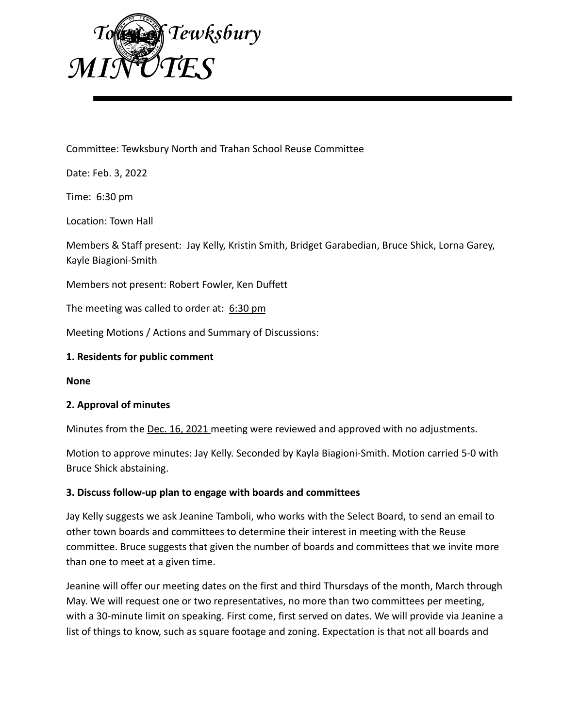

Committee: Tewksbury North and Trahan School Reuse Committee

Date: Feb. 3, 2022

Time: 6:30 pm

Location: Town Hall

Members & Staff present: Jay Kelly, Kristin Smith, Bridget Garabedian, Bruce Shick, Lorna Garey, Kayle Biagioni-Smith

Members not present: Robert Fowler, Ken Duffett

The meeting was called to order at: 6:30 pm

Meeting Motions / Actions and Summary of Discussions:

### **1. Residents for public comment**

**None**

### **2. Approval of minutes**

Minutes from the Dec. 16, 2021 meeting were reviewed and approved with no adjustments.

Motion to approve minutes: Jay Kelly. Seconded by Kayla Biagioni-Smith. Motion carried 5-0 with Bruce Shick abstaining.

### **3. Discuss follow-up plan to engage with boards and committees**

Jay Kelly suggests we ask Jeanine Tamboli, who works with the Select Board, to send an email to other town boards and committees to determine their interest in meeting with the Reuse committee. Bruce suggests that given the number of boards and committees that we invite more than one to meet at a given time.

Jeanine will offer our meeting dates on the first and third Thursdays of the month, March through May. We will request one or two representatives, no more than two committees per meeting, with a 30-minute limit on speaking. First come, first served on dates. We will provide via Jeanine a list of things to know, such as square footage and zoning. Expectation is that not all boards and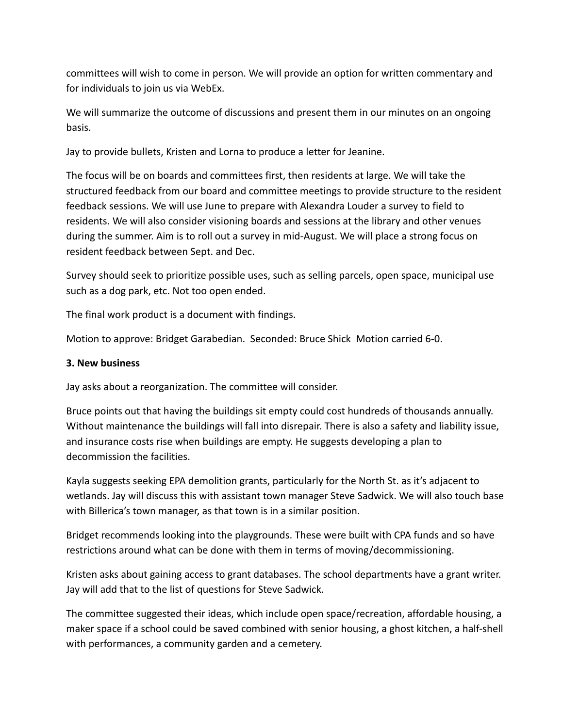committees will wish to come in person. We will provide an option for written commentary and for individuals to join us via WebEx.

We will summarize the outcome of discussions and present them in our minutes on an ongoing basis.

Jay to provide bullets, Kristen and Lorna to produce a letter for Jeanine.

The focus will be on boards and committees first, then residents at large. We will take the structured feedback from our board and committee meetings to provide structure to the resident feedback sessions. We will use June to prepare with Alexandra Louder a survey to field to residents. We will also consider visioning boards and sessions at the library and other venues during the summer. Aim is to roll out a survey in mid-August. We will place a strong focus on resident feedback between Sept. and Dec.

Survey should seek to prioritize possible uses, such as selling parcels, open space, municipal use such as a dog park, etc. Not too open ended.

The final work product is a document with findings.

Motion to approve: Bridget Garabedian. Seconded: Bruce Shick Motion carried 6-0.

# **3. New business**

Jay asks about a reorganization. The committee will consider.

Bruce points out that having the buildings sit empty could cost hundreds of thousands annually. Without maintenance the buildings will fall into disrepair. There is also a safety and liability issue, and insurance costs rise when buildings are empty. He suggests developing a plan to decommission the facilities.

Kayla suggests seeking EPA demolition grants, particularly for the North St. as it's adjacent to wetlands. Jay will discuss this with assistant town manager Steve Sadwick. We will also touch base with Billerica's town manager, as that town is in a similar position.

Bridget recommends looking into the playgrounds. These were built with CPA funds and so have restrictions around what can be done with them in terms of moving/decommissioning.

Kristen asks about gaining access to grant databases. The school departments have a grant writer. Jay will add that to the list of questions for Steve Sadwick.

The committee suggested their ideas, which include open space/recreation, affordable housing, a maker space if a school could be saved combined with senior housing, a ghost kitchen, a half-shell with performances, a community garden and a cemetery.